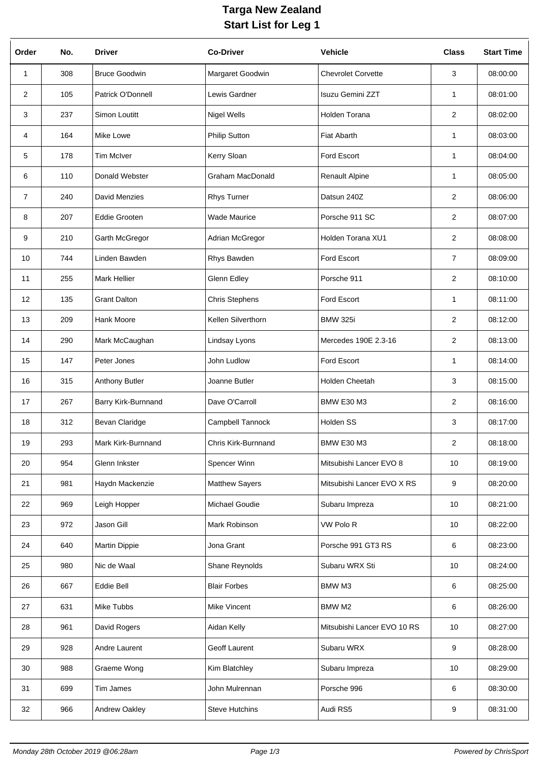## **Targa New Zealand Start List for Leg 1**

| Order          | No. | <b>Driver</b>         | <b>Co-Driver</b>        | <b>Vehicle</b>              | <b>Class</b>   | <b>Start Time</b> |
|----------------|-----|-----------------------|-------------------------|-----------------------------|----------------|-------------------|
| 1              | 308 | <b>Bruce Goodwin</b>  | Margaret Goodwin        | <b>Chevrolet Corvette</b>   | 3              | 08:00:00          |
| $\overline{2}$ | 105 | Patrick O'Donnell     | Lewis Gardner           | Isuzu Gemini ZZT            | $\mathbf{1}$   | 08:01:00          |
| 3              | 237 | Simon Loutitt         | <b>Nigel Wells</b>      | Holden Torana               | $\overline{2}$ | 08:02:00          |
| 4              | 164 | Mike Lowe             | <b>Philip Sutton</b>    | <b>Fiat Abarth</b>          | $\mathbf 1$    | 08:03:00          |
| 5              | 178 | <b>Tim McIver</b>     | Kerry Sloan             | Ford Escort                 | $\mathbf{1}$   | 08:04:00          |
| 6              | 110 | Donald Webster        | <b>Graham MacDonald</b> | Renault Alpine              | $\mathbf{1}$   | 08:05:00          |
| $\overline{7}$ | 240 | David Menzies         | <b>Rhys Turner</b>      | Datsun 240Z                 | $\overline{2}$ | 08:06:00          |
| 8              | 207 | <b>Eddie Grooten</b>  | <b>Wade Maurice</b>     | Porsche 911 SC              | $\overline{2}$ | 08:07:00          |
| 9              | 210 | Garth McGregor        | Adrian McGregor         | Holden Torana XU1           | $\overline{2}$ | 08:08:00          |
| 10             | 744 | Linden Bawden         | Rhys Bawden             | Ford Escort                 | $\overline{7}$ | 08:09:00          |
| 11             | 255 | <b>Mark Hellier</b>   | Glenn Edley             | Porsche 911                 | $\overline{2}$ | 08:10:00          |
| 12             | 135 | <b>Grant Dalton</b>   | <b>Chris Stephens</b>   | Ford Escort                 | $\mathbf 1$    | 08:11:00          |
| 13             | 209 | Hank Moore            | Kellen Silverthorn      | <b>BMW 325i</b>             | $\overline{2}$ | 08:12:00          |
| 14             | 290 | Mark McCaughan        | Lindsay Lyons           | Mercedes 190E 2.3-16        | 2              | 08:13:00          |
| 15             | 147 | Peter Jones           | John Ludlow             | Ford Escort                 | $\mathbf{1}$   | 08:14:00          |
| 16             | 315 | <b>Anthony Butler</b> | Joanne Butler           | <b>Holden Cheetah</b>       | 3              | 08:15:00          |
| 17             | 267 | Barry Kirk-Burnnand   | Dave O'Carroll          | <b>BMW E30 M3</b>           | $\overline{2}$ | 08:16:00          |
| 18             | 312 | Bevan Claridge        | Campbell Tannock        | Holden SS                   | 3              | 08:17:00          |
| 19             | 293 | Mark Kirk-Burnnand    | Chris Kirk-Burnnand     | <b>BMW E30 M3</b>           | $\overline{2}$ | 08:18:00          |
| 20             | 954 | Glenn Inkster         | Spencer Winn            | Mitsubishi Lancer EVO 8     | 10             | 08:19:00          |
| 21             | 981 | Haydn Mackenzie       | <b>Matthew Sayers</b>   | Mitsubishi Lancer EVO X RS  | 9              | 08:20:00          |
| 22             | 969 | Leigh Hopper          | Michael Goudie          | Subaru Impreza              | 10             | 08:21:00          |
| 23             | 972 | Jason Gill            | Mark Robinson           | VW Polo R                   | 10             | 08:22:00          |
| 24             | 640 | <b>Martin Dippie</b>  | Jona Grant              | Porsche 991 GT3 RS          | 6              | 08:23:00          |
| 25             | 980 | Nic de Waal           | Shane Reynolds          | Subaru WRX Sti              | 10             | 08:24:00          |
| 26             | 667 | Eddie Bell            | <b>Blair Forbes</b>     | <b>BMW M3</b>               | 6              | 08:25:00          |
| 27             | 631 | Mike Tubbs            | <b>Mike Vincent</b>     | BMW M2                      | 6              | 08:26:00          |
| 28             | 961 | David Rogers          | Aidan Kelly             | Mitsubishi Lancer EVO 10 RS | 10             | 08:27:00          |
| 29             | 928 | Andre Laurent         | Geoff Laurent           | Subaru WRX                  | 9              | 08:28:00          |
| 30             | 988 | Graeme Wong           | Kim Blatchley           | Subaru Impreza              | 10             | 08:29:00          |
| 31             | 699 | Tim James             | John Mulrennan          | Porsche 996                 | 6              | 08:30:00          |
| 32             | 966 | Andrew Oakley         | <b>Steve Hutchins</b>   | Audi RS5                    | 9              | 08:31:00          |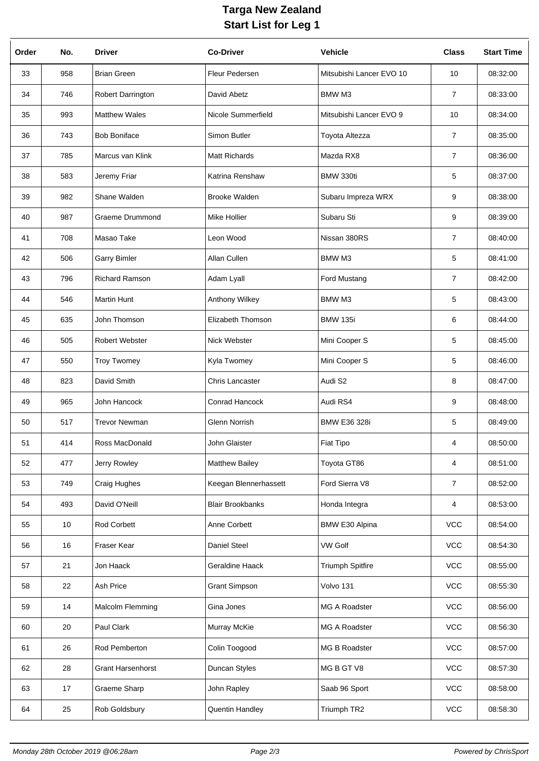## **Targa New Zealand Start List for Leg 1**

| Order | No. | <b>Driver</b>            | <b>Co-Driver</b>        | <b>Vehicle</b>           | <b>Class</b>   | <b>Start Time</b> |
|-------|-----|--------------------------|-------------------------|--------------------------|----------------|-------------------|
| 33    | 958 | <b>Brian Green</b>       | Fleur Pedersen          | Mitsubishi Lancer EVO 10 | 10             | 08:32:00          |
| 34    | 746 | Robert Darrington        | David Abetz             | <b>BMW M3</b>            | 7              | 08:33:00          |
| 35    | 993 | <b>Matthew Wales</b>     | Nicole Summerfield      | Mitsubishi Lancer EVO 9  | 10             | 08:34:00          |
| 36    | 743 | <b>Bob Boniface</b>      | Simon Butler            | Toyota Altezza           | 7              | 08:35:00          |
| 37    | 785 | Marcus van Klink         | <b>Matt Richards</b>    | Mazda RX8                | 7              | 08:36:00          |
| 38    | 583 | Jeremy Friar             | Katrina Renshaw         | BMW 330ti                | 5              | 08:37:00          |
| 39    | 982 | Shane Walden             | <b>Brooke Walden</b>    | Subaru Impreza WRX       | 9              | 08:38:00          |
| 40    | 987 | <b>Graeme Drummond</b>   | Mike Hollier            | Subaru Sti               | 9              | 08:39:00          |
| 41    | 708 | Masao Take               | Leon Wood               | Nissan 380RS             | 7              | 08:40:00          |
| 42    | 506 | <b>Garry Bimler</b>      | Allan Cullen            | <b>BMW M3</b>            | 5              | 08:41:00          |
| 43    | 796 | <b>Richard Ramson</b>    | Adam Lyall              | <b>Ford Mustang</b>      | 7              | 08:42:00          |
| 44    | 546 | <b>Martin Hunt</b>       | Anthony Wilkey          | <b>BMW M3</b>            | 5              | 08:43:00          |
| 45    | 635 | John Thomson             | Elizabeth Thomson       | <b>BMW 135i</b>          | 6              | 08:44:00          |
| 46    | 505 | Robert Webster           | Nick Webster            | Mini Cooper S            | 5              | 08:45:00          |
| 47    | 550 | <b>Troy Twomey</b>       | Kyla Twomey             | Mini Cooper S            | 5              | 08:46:00          |
| 48    | 823 | David Smith              | Chris Lancaster         | Audi S2                  | 8              | 08:47:00          |
| 49    | 965 | John Hancock             | Conrad Hancock          | Audi RS4                 | 9              | 08:48:00          |
| 50    | 517 | <b>Trevor Newman</b>     | Glenn Norrish           | <b>BMW E36 328i</b>      | 5              | 08:49:00          |
| 51    | 414 | Ross MacDonald           | John Glaister           | Fiat Tipo                | 4              | 08:50:00          |
| 52    | 477 | Jerry Rowley             | <b>Matthew Bailey</b>   | Toyota GT86              | 4              | 08:51:00          |
| 53    | 749 | Craig Hughes             | Keegan Blennerhassett   | Ford Sierra V8           | $\overline{7}$ | 08:52:00          |
| 54    | 493 | David O'Neill            | <b>Blair Brookbanks</b> | Honda Integra            | 4              | 08:53:00          |
| 55    | 10  | Rod Corbett              | Anne Corbett            | BMW E30 Alpina           | <b>VCC</b>     | 08:54:00          |
| 56    | 16  | Fraser Kear              | Daniel Steel            | <b>VW Golf</b>           | <b>VCC</b>     | 08:54:30          |
| 57    | 21  | Jon Haack                | Geraldine Haack         | <b>Triumph Spitfire</b>  | <b>VCC</b>     | 08:55:00          |
| 58    | 22  | Ash Price                | <b>Grant Simpson</b>    | Volvo 131                | <b>VCC</b>     | 08:55:30          |
| 59    | 14  | Malcolm Flemming         | Gina Jones              | MG A Roadster            | <b>VCC</b>     | 08:56:00          |
| 60    | 20  | Paul Clark               | Murray McKie            | MG A Roadster            | <b>VCC</b>     | 08:56:30          |
| 61    | 26  | Rod Pemberton            | Colin Toogood           | MG B Roadster            | <b>VCC</b>     | 08:57:00          |
| 62    | 28  | <b>Grant Harsenhorst</b> | Duncan Styles           | MG B GT V8               | <b>VCC</b>     | 08:57:30          |
| 63    | 17  | Graeme Sharp             | John Rapley             | Saab 96 Sport            | VCC            | 08:58:00          |
| 64    | 25  | Rob Goldsbury            | <b>Quentin Handley</b>  | Triumph TR2              | VCC            | 08:58:30          |